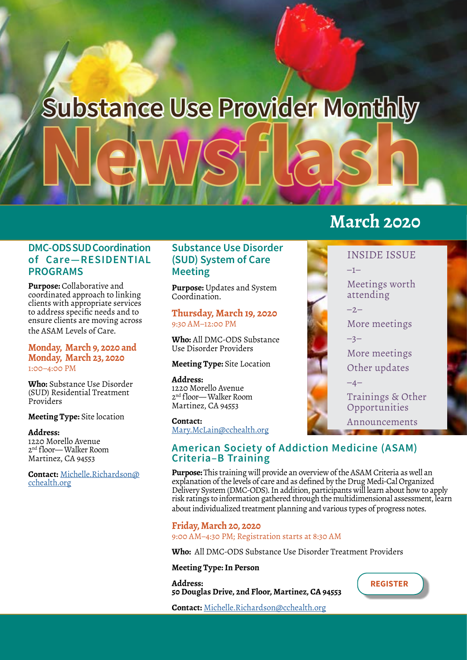# **Newsflash Substance Use Provider Monthly**

## **DMC-ODS SUD Coordination of Care—RESIDENTIAL PROGRAMS**

**Purpose:** Collaborative and coordinated approach to linking clients with appropriate services to address specific needs and to ensure clients are moving across the ASAM Levels of Care.

#### **Monday, March 9, 2020 and Monday, March 23, 2020** 1:00–4:00 PM

**Who:** Substance Use Disorder (SUD) Residential Treatment Providers

**Meeting Type:** Site location

**Address:** 1220 Morello Avenue 2nd floor— Walker Room Martinez, CA 94553

**Contact:** [Michelle.Richardson@](mailto:Michelle.Richardson%40cchealth.org?subject=Coordination%20of%20Care-%20Residential%20Programs) [cchealth.org](mailto:Michelle.Richardson%40cchealth.org?subject=Coordination%20of%20Care-%20Residential%20Programs)

## **Substance Use Disorder (SUD) System of Care Meeting**

**Purpose:** Updates and System Coordination.

**Thursday, March 19, 2020** 9:30 AM–12:00 P[M](https://www.surveymonkey.com/r/3VC5QWP)

**Who:** All DMC-ODS Substance Use Disorder Providers

#### **Meeting Type:** Site Location

#### **Address:**

1220 Morello Avenue 2nd floor— Walker Room Martinez, CA 94553

#### **Contact:**

[Mary.McLain@cchealth.org](mailto:Mary.McLain%40cchealth.org?subject=Substance%20Use%20Disorder%20System%20of%20Care%20Meeting)

### **American Society of Addiction Medicine (ASAM) Criteria–B Training**

**Purpose:** This training will provide an overview of the ASAM Criteria as well an explanation of the levels of care and as defined by the Drug Medi-Cal Organized Delivery System (DMC-ODS). In addition, participants will learn about how to apply risk ratings to information gathered through the multidimensional assessment, learn about individualized treatment planning and various types of progress notes.

**Friday, March 20, 2020** 9:00 AM–4:30 PM; Registration starts at 8:30 AM

**Who:** All DMC-ODS Substance Use Disorder Treatment Providers

#### **Meeting Type: In Person**

**Address: 50 Douglas Drive, 2nd Floor, Martinez, CA 94553**

**Contact:** [Michelle.Richardson@cchealth.org](mailto:Michelle.Richardson%40cchealth.org?subject=American%20Society%20of%20Addiction%20Medicine%20Criteria-B%20Training)

# **March 2020**



Trainings & Other Opportunities Announcements

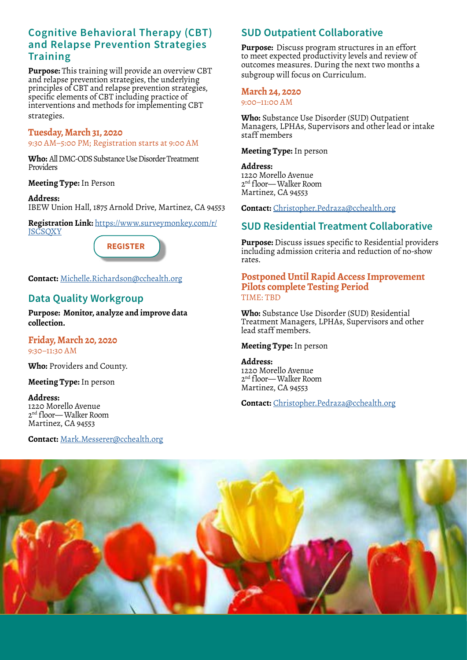## **Cognitive Behavioral Therapy (CBT) and Relapse Prevention Strategies Training**

**Purpose:** This training will provide an overview CBT and relapse prevention strategies, the underlying principles of CBT and relapse prevention strategies, specific elements of CBT including practice of interventions and methods for implementing CBT strategies.

#### **Tuesday, March 31, 2020**

9:30 AM–5:00 PM; Registration starts at 9:00 AM

**Who:** All DMC-ODS Substance Use Disorder Treatment Providers

**Meeting Type:** In Person

**Address:** IBEW Union Hall, 1875 Arnold Drive, Martinez, CA 94553

**Registration Link:** [https://www.surveymonkey.com/r/](https://www.surveymonkey.com/r/JSCSQXY ) **JSCSOXY** 



**Contact:** [Michelle.Richardson@cchealth.org](mailto:Michelle.Richardson%40cchealth.org?subject=Cognitive%20Behavioral%20Therapy%20%26%20Relapse%20Prevention%20Strategies%20Training)

## **Data Quality Workgroup**

**Purpose: Monitor, analyze and improve data collection.**

**Friday, March 20, 2020** 9:30–11:30 AM

**Who:** Providers and County.

**Meeting Type:** In person

**Address:** 1220 Morello Avenue 2nd floor— Walker Room Martinez, CA 94553

**Contact:** [Mark.Messerer@cchealth.org](mailto:Mark.Messerer%40cchealth.org?subject=Data%20Quality%20Workgroup)

## **SUD Outpatient Collaborative**

**Purpose:** Discuss program structures in an effort to meet expected productivity levels and review of outcomes measures. During the next two months a subgroup will focus on Curriculum.

#### **March 24, 2020**

9:00–11:00 AM

**Who:** Substance Use Disorder (SUD) Outpatient Managers, LPHAs, Supervisors and other lead or intake staff members

**Meeting Type:** In person

#### **Address:**

1220 Morello Avenue 2nd floor— Walker Room Martinez, CA 94553

**Contact:** Christopher.Pedraza[@cchealth.org](mailto:Mark.Messerer%40cchealth.org?subject=SUD%20Outpatient%20Collaborative)

## **SUD Residential Treatment Collaborative**

**Purpose:** Discuss issues specific to Residential providers including admission criteria and reduction of no-show rates.

#### **Postponed Until Rapid Access Improvement Pilots complete Testing Period** TIME: TBD

**Who:** Substance Use Disorder (SUD) Residential Treatment Managers, LPHAs, Supervisors and other lead staff members.

#### **Meeting Type:** In person

**Address:** 1220 Morello Avenue 2nd floor— Walker Room Martinez, CA 94553

**Contact:** [Christopher.Pedraza@cchealth.org](mailto:Christopher.pedraza%40cchealth.org?subject=SUD%20Residential%20Treatment%20Collaborative)

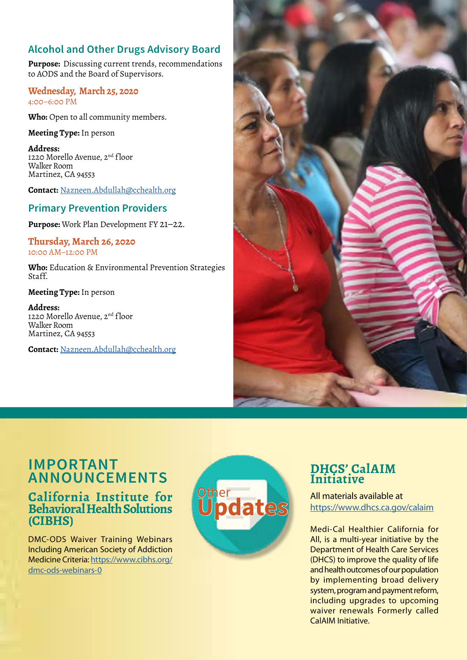## **Alcohol and Other Drugs Advisory Board**

**Purpose:** Discussing current trends, recommendations to AODS and the Board of Supervisors.

#### **Wednesday, March 25, 2020**  4:00–6:00 PM

**Who:** Open to all community members.

#### **Meeting Type:** In person

**Address:** 1220 Morello Avenue, 2<sup>nd</sup> floor Walker Room Martinez, CA 94553

**Contact:** [Nazneen.Abdullah@cchealth.org](mailto:Nazneen.Abdullah%40cchealth.org?subject=Alcohol%20and%20Other%20Drugs%20Advisory%20Board)

## **Primary Prevention Providers**

**Purpose:** Work Plan Development FY 21–22.

#### **Thursday, March 26, 2020** 10:00 AM–12:00 PM

**Who:** Education & Environmental Prevention Strategies Staff.

#### **Meeting Type:** In person

**Address:** 1220 Morello Avenue, 2<sup>nd</sup> floor Walker Room Martinez, CA 94553

**Contact:** [Nazneen.Abdullah@cchealth.org](mailto:Nazneen.Abdullah%40cchealth.org?subject=Primary%20Prevention%20Providers)



## **IMPORTANT ANNOUNCEMENTS**

## **California Institute for Behavioral Health Solutions (CIBHS)**

DMC-ODS Waiver Training Webinars Including American Society of Addiction Medicine Criteria: [https://www.cibhs.org/](https://www.cibhs.org/dmc-ods-webinars-0) [dmc-ods-webinars-0](https://www.cibhs.org/dmc-ods-webinars-0)



## **DHCS' CalAIM Initiative**

All materials available at <https://www.dhcs.ca.gov/calaim>

Medi-Cal Healthier California for All, is a multi-year initiative by the Department of Health Care Services (DHCS) to improve the quality of life and health outcomes of our population by implementing broad delivery system, program and payment reform, including upgrades to upcoming waiver renewals Formerly called CalAIM Initiative.